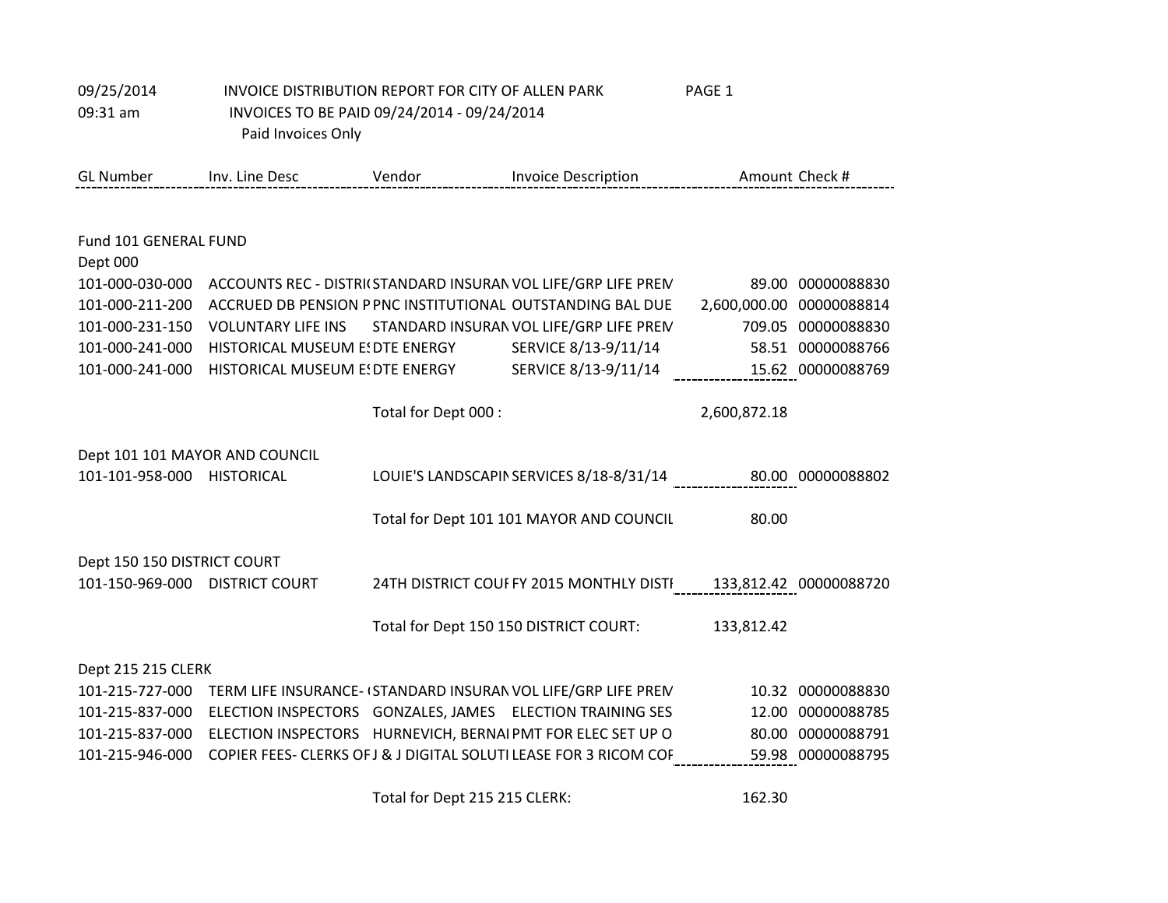| 09/25/2014                     | INVOICE DISTRIBUTION REPORT FOR CITY OF ALLEN PARK |                     |                                                                   | PAGE 1                                                     |
|--------------------------------|----------------------------------------------------|---------------------|-------------------------------------------------------------------|------------------------------------------------------------|
| 09:31 am                       | INVOICES TO BE PAID 09/24/2014 - 09/24/2014        |                     |                                                                   |                                                            |
|                                | Paid Invoices Only                                 |                     |                                                                   |                                                            |
|                                |                                                    |                     |                                                                   |                                                            |
| <b>GL Number</b>               | Inv. Line Desc                                     | Vendor              | <b>Invoice Description</b>                                        | Amount Check #                                             |
|                                |                                                    |                     |                                                                   |                                                            |
| Fund 101 GENERAL FUND          |                                                    |                     |                                                                   |                                                            |
| Dept 000                       |                                                    |                     |                                                                   |                                                            |
| 101-000-030-000                |                                                    |                     | ACCOUNTS REC - DISTRI(STANDARD INSURANVOL LIFE/GRP LIFE PREN      | 89.00 00000088830                                          |
| 101-000-211-200                |                                                    |                     | ACCRUED DB PENSION P PNC INSTITUTIONAL OUTSTANDING BAL DUE        | 2,600,000.00 00000088814                                   |
| 101-000-231-150                | <b>VOLUNTARY LIFE INS</b>                          |                     | STANDARD INSURAN VOL LIFE/GRP LIFE PREN                           | 709.05 00000088830                                         |
| 101-000-241-000                | HISTORICAL MUSEUM E: DTE ENERGY                    |                     | SERVICE 8/13-9/11/14                                              | 58.51 00000088766                                          |
| 101-000-241-000                | HISTORICAL MUSEUM E: DTE ENERGY                    |                     | SERVICE 8/13-9/11/14                                              | 15.62 00000088769                                          |
|                                |                                                    |                     |                                                                   |                                                            |
|                                |                                                    | Total for Dept 000: |                                                                   | 2,600,872.18                                               |
| Dept 101 101 MAYOR AND COUNCIL |                                                    |                     |                                                                   |                                                            |
| 101-101-958-000 HISTORICAL     |                                                    |                     |                                                                   | LOUIE'S LANDSCAPIN SERVICES 8/18-8/31/14 80.00 00000088802 |
|                                |                                                    |                     |                                                                   |                                                            |
|                                |                                                    |                     | Total for Dept 101 101 MAYOR AND COUNCIL                          | 80.00                                                      |
|                                |                                                    |                     |                                                                   |                                                            |
| Dept 150 150 DISTRICT COURT    |                                                    |                     |                                                                   |                                                            |
| 101-150-969-000 DISTRICT COURT |                                                    |                     | 24TH DISTRICT COUFFY 2015 MONTHLY DISTI                           | 133,812.42 00000088720                                     |
|                                |                                                    |                     |                                                                   |                                                            |
|                                |                                                    |                     | Total for Dept 150 150 DISTRICT COURT:                            | 133,812.42                                                 |
| Dept 215 215 CLERK             |                                                    |                     |                                                                   |                                                            |
| 101-215-727-000                |                                                    |                     | TERM LIFE INSURANCE- (STANDARD INSURAN VOL LIFE/GRP LIFE PREN     | 10.32 00000088830                                          |
| 101-215-837-000                |                                                    |                     | ELECTION INSPECTORS GONZALES, JAMES ELECTION TRAINING SES         | 12.00 00000088785                                          |
| 101-215-837-000                |                                                    |                     | ELECTION INSPECTORS HURNEVICH, BERNAIPMT FOR ELEC SET UP O        | 80.00 00000088791                                          |
| 101-215-946-000                |                                                    |                     | COPIER FEES- CLERKS OF J & J DIGITAL SOLUTI LEASE FOR 3 RICOM COF | 59.98 00000088795                                          |
|                                |                                                    |                     |                                                                   |                                                            |

Total for Dept 215 215 CLERK: 162.30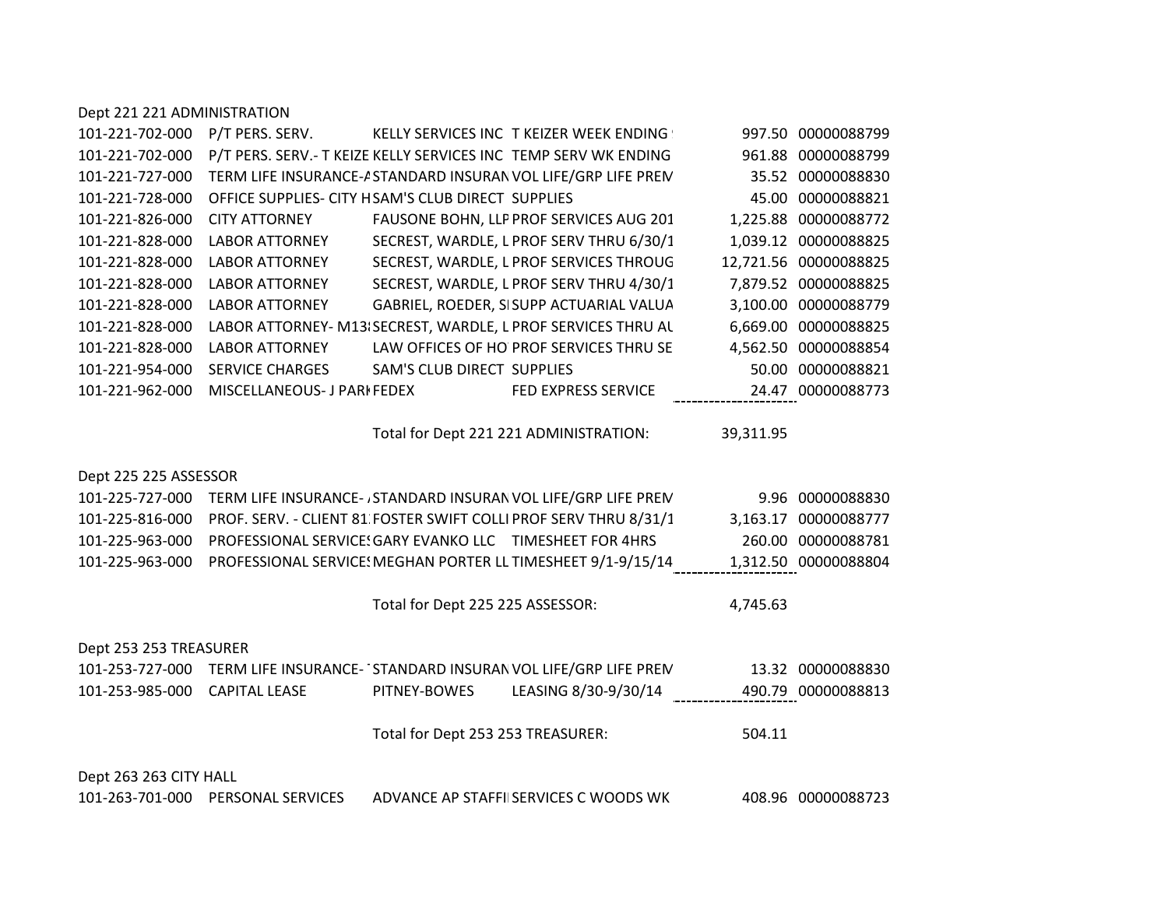| Dept 221 221 ADMINISTRATION |                                                          |                                   |                                                                                |           |                       |
|-----------------------------|----------------------------------------------------------|-----------------------------------|--------------------------------------------------------------------------------|-----------|-----------------------|
| 101-221-702-000             | P/T PERS. SERV.                                          |                                   | KELLY SERVICES INC T KEIZER WEEK ENDING                                        |           | 997.50 00000088799    |
| 101-221-702-000             |                                                          |                                   | P/T PERS. SERV.- T KEIZE KELLY SERVICES INC TEMP SERV WK ENDING                |           | 961.88 00000088799    |
| 101-221-727-000             |                                                          |                                   | TERM LIFE INSURANCE-I STANDARD INSURAN VOL LIFE/GRP LIFE PREN                  |           | 35.52 00000088830     |
| 101-221-728-000             | OFFICE SUPPLIES- CITY HSAM'S CLUB DIRECT SUPPLIES        |                                   |                                                                                |           | 45.00 00000088821     |
| 101-221-826-000             | <b>CITY ATTORNEY</b>                                     |                                   | FAUSONE BOHN, LLP PROF SERVICES AUG 201                                        |           | 1,225.88 00000088772  |
| 101-221-828-000             | <b>LABOR ATTORNEY</b>                                    |                                   | SECREST, WARDLE, L PROF SERV THRU 6/30/1                                       |           | 1,039.12 00000088825  |
| 101-221-828-000             | <b>LABOR ATTORNEY</b>                                    |                                   | SECREST, WARDLE, L PROF SERVICES THROUG                                        |           | 12,721.56 00000088825 |
| 101-221-828-000             | <b>LABOR ATTORNEY</b>                                    |                                   | SECREST, WARDLE, L PROF SERV THRU 4/30/1                                       |           | 7,879.52 00000088825  |
| 101-221-828-000             | <b>LABOR ATTORNEY</b>                                    |                                   | GABRIEL, ROEDER, SISUPP ACTUARIAL VALUA                                        |           | 3,100.00 00000088779  |
| 101-221-828-000             |                                                          |                                   | LABOR ATTORNEY- M13/SECREST, WARDLE, L PROF SERVICES THRU AL                   |           | 6,669.00 00000088825  |
| 101-221-828-000             | <b>LABOR ATTORNEY</b>                                    |                                   | LAW OFFICES OF HO' PROF SERVICES THRU SE                                       |           | 4,562.50 00000088854  |
| 101-221-954-000             | <b>SERVICE CHARGES</b>                                   | <b>SAM'S CLUB DIRECT SUPPLIES</b> |                                                                                |           | 50.00 00000088821     |
| 101-221-962-000             | MISCELLANEOUS- J PARI FEDEX                              |                                   | FED EXPRESS SERVICE                                                            |           | 24.47 00000088773     |
|                             |                                                          |                                   |                                                                                |           |                       |
|                             |                                                          |                                   | Total for Dept 221 221 ADMINISTRATION:                                         | 39,311.95 |                       |
|                             |                                                          |                                   |                                                                                |           |                       |
| Dept 225 225 ASSESSOR       |                                                          |                                   |                                                                                |           |                       |
|                             |                                                          |                                   | 101-225-727-000 TERM LIFE INSURANCE- , STANDARD INSURAN VOL LIFE/GRP LIFE PREN |           | 9.96 00000088830      |
| 101-225-816-000             |                                                          |                                   | PROF. SERV. - CLIENT 81 FOSTER SWIFT COLLI PROF SERV THRU 8/31/1               |           | 3,163.17 00000088777  |
| 101-225-963-000             | PROFESSIONAL SERVICE! GARY EVANKO LLC TIMESHEET FOR 4HRS |                                   |                                                                                |           | 260.00 00000088781    |
| 101-225-963-000             |                                                          |                                   | PROFESSIONAL SERVICE: MEGHAN PORTER LL TIMESHEET 9/1-9/15/14                   |           | 1,312.50 00000088804  |
|                             |                                                          |                                   |                                                                                |           |                       |
|                             |                                                          | Total for Dept 225 225 ASSESSOR:  |                                                                                | 4,745.63  |                       |
|                             |                                                          |                                   |                                                                                |           |                       |
| Dept 253 253 TREASURER      |                                                          |                                   |                                                                                |           |                       |
| 101-253-727-000             |                                                          |                                   | TERM LIFE INSURANCE-'STANDARD INSURAN VOL LIFE/GRP LIFE PREN                   |           | 13.32 00000088830     |
| 101-253-985-000             | <b>CAPITAL LEASE</b>                                     | PITNEY-BOWES                      | LEASING 8/30-9/30/14                                                           |           | 490.79 00000088813    |
|                             |                                                          |                                   |                                                                                |           |                       |
|                             |                                                          | Total for Dept 253 253 TREASURER: |                                                                                | 504.11    |                       |
|                             |                                                          |                                   |                                                                                |           |                       |
| Dept 263 263 CITY HALL      |                                                          |                                   |                                                                                |           |                       |
|                             | 101-263-701-000 PERSONAL SERVICES                        |                                   | ADVANCE AP STAFFIISERVICES C WOODS WK                                          |           | 408.96 00000088723    |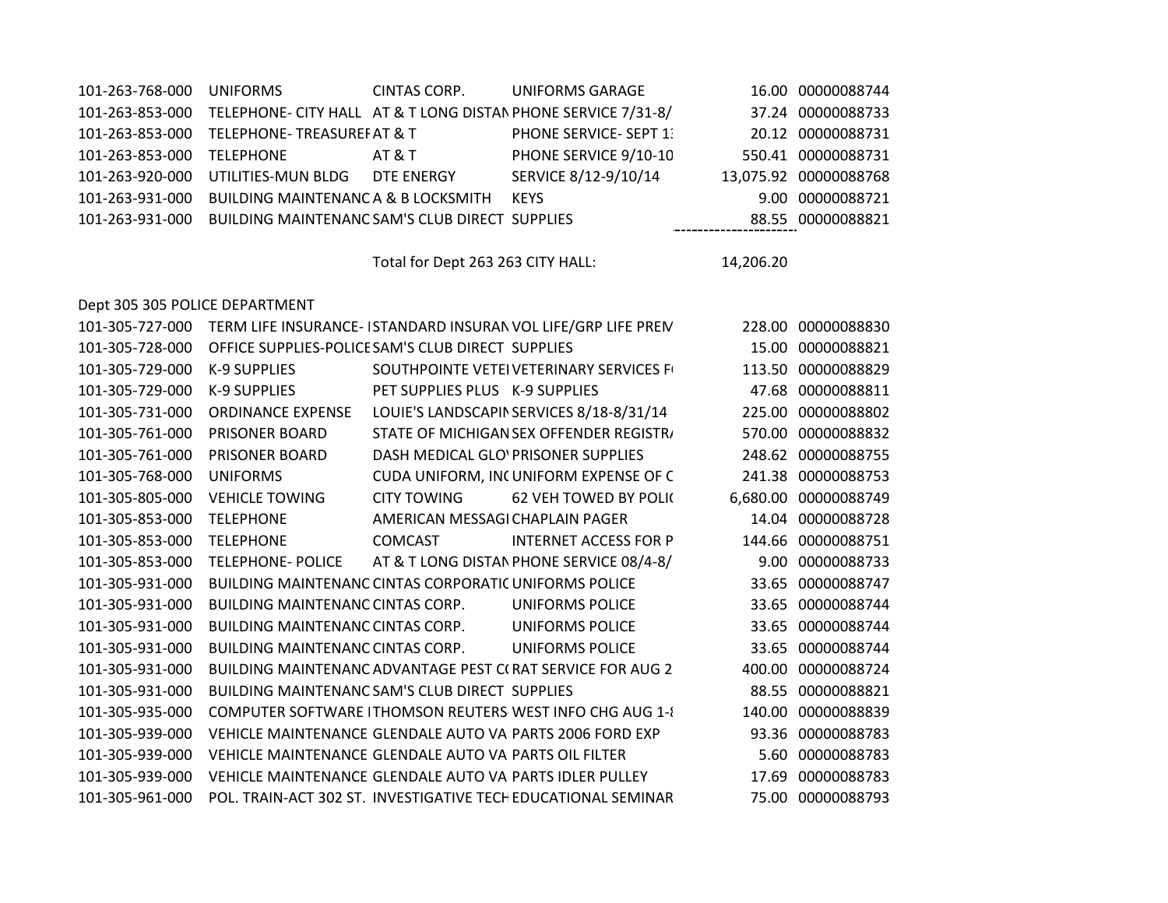| 101-263-768-000 | UNIFORMS                                       | CINTAS CORP. | UNIFORMS GARAGE                                               | 16.00 00000088744     |
|-----------------|------------------------------------------------|--------------|---------------------------------------------------------------|-----------------------|
| 101-263-853-000 |                                                |              | TELEPHONE- CITY HALL AT & T LONG DISTAN PHONE SERVICE 7/31-8/ | 37.24 00000088733     |
|                 | 101-263-853-000 TELEPHONE-TREASUREF AT & T     |              | <b>PHONE SERVICE- SEPT 1:</b>                                 | 20.12 00000088731     |
| 101-263-853-000 | TFLFPHONF                                      | AT & T       | PHONE SERVICE 9/10-10                                         | 550.41 00000088731    |
| 101-263-920-000 | UTILITIES-MUN BLDG DTE ENERGY                  |              | SERVICE 8/12-9/10/14                                          | 13,075.92 00000088768 |
| 101-263-931-000 | BUILDING MAINTENANC A & B LOCKSMITH KEYS       |              |                                                               | 9.00 00000088721      |
| 101-263-931-000 | BUILDING MAINTENANC SAM'S CLUB DIRECT SUPPLIES |              |                                                               | 88.55 00000088821     |

Total for Dept 263 263 CITY HALL: 14,206.20

Dept 305 305 POLICE DEPARTMENT

| 101-305-727-000 |                                                              |                                    | TERM LIFE INSURANCE- ISTANDARD INSURAN VOL LIFE/GRP LIFE PREN |        | 228.00 00000088830   |
|-----------------|--------------------------------------------------------------|------------------------------------|---------------------------------------------------------------|--------|----------------------|
| 101-305-728-000 | OFFICE SUPPLIES-POLICE SAM'S CLUB DIRECT SUPPLIES            |                                    |                                                               | 15.00  | 00000088821          |
| 101-305-729-000 | K-9 SUPPLIES                                                 |                                    | SOUTHPOINTE VETEIVETERINARY SERVICES F                        | 113.50 | 00000088829          |
| 101-305-729-000 | <b>K-9 SUPPLIES</b>                                          | PET SUPPLIES PLUS K-9 SUPPLIES     |                                                               | 47.68  | 00000088811          |
| 101-305-731-000 | <b>ORDINANCE EXPENSE</b>                                     |                                    | LOUIE'S LANDSCAPIN SERVICES 8/18-8/31/14                      | 225.00 | 00000088802          |
| 101-305-761-000 | PRISONER BOARD                                               |                                    | STATE OF MICHIGAN SEX OFFENDER REGISTR/                       | 570.00 | 00000088832          |
| 101-305-761-000 | <b>PRISONER BOARD</b>                                        | DASH MEDICAL GLOVPRISONER SUPPLIES |                                                               |        | 248.62 00000088755   |
| 101-305-768-000 | <b>UNIFORMS</b>                                              |                                    | CUDA UNIFORM, INCUNIFORM EXPENSE OF C                         | 241.38 | 00000088753          |
| 101-305-805-000 | <b>VEHICLE TOWING</b>                                        | <b>CITY TOWING</b>                 | <b>62 VEH TOWED BY POLIC</b>                                  |        | 6,680.00 00000088749 |
| 101-305-853-000 | <b>TELEPHONE</b>                                             | AMERICAN MESSAGI CHAPLAIN PAGER    |                                                               | 14.04  | 00000088728          |
| 101-305-853-000 | <b>TELEPHONE</b>                                             | <b>COMCAST</b>                     | <b>INTERNET ACCESS FOR P</b>                                  | 144.66 | 00000088751          |
| 101-305-853-000 | <b>TELEPHONE- POLICE</b>                                     |                                    | AT & T LONG DISTAN PHONE SERVICE 08/4-8/                      | 9.00   | 00000088733          |
| 101-305-931-000 | <b>BUILDING MAINTENANC CINTAS CORPORATIC UNIFORMS POLICE</b> |                                    |                                                               | 33.65  | 00000088747          |
| 101-305-931-000 | BUILDING MAINTENANC CINTAS CORP.                             |                                    | UNIFORMS POLICE                                               | 33.65  | 00000088744          |
| 101-305-931-000 | BUILDING MAINTENANC CINTAS CORP.                             |                                    | <b>UNIFORMS POLICE</b>                                        | 33.65  | 00000088744          |
| 101-305-931-000 | <b>BUILDING MAINTENANC CINTAS CORP.</b>                      |                                    | UNIFORMS POLICE                                               | 33.65  | 00000088744          |
| 101-305-931-000 |                                                              |                                    | BUILDING MAINTENANC ADVANTAGE PEST C(RAT SERVICE FOR AUG 2    | 400.00 | 00000088724          |
| 101-305-931-000 | <b>BUILDING MAINTENANC SAM'S CLUB DIRECT SUPPLIES</b>        |                                    |                                                               | 88.55  | 00000088821          |
| 101-305-935-000 |                                                              |                                    | COMPUTER SOFTWARE THOMSON REUTERS WEST INFO CHG AUG 1-8       | 140.00 | 00000088839          |
| 101-305-939-000 | VEHICLE MAINTENANCE GLENDALE AUTO VAI PARTS 2006 FORD EXP    |                                    |                                                               |        | 93.36 00000088783    |
| 101-305-939-000 | VEHICLE MAINTENANCE GLENDALE AUTO VAI PARTS OIL FILTER       |                                    |                                                               | 5.60   | 00000088783          |
| 101-305-939-000 | VEHICLE MAINTENANCE GLENDALE AUTO VAI PARTS IDLER PULLEY     |                                    |                                                               | 17.69  | 00000088783          |
| 101-305-961-000 |                                                              |                                    | POL. TRAIN-ACT 302 ST. INVESTIGATIVE TECH EDUCATIONAL SEMINAR | 75.00  | 00000088793          |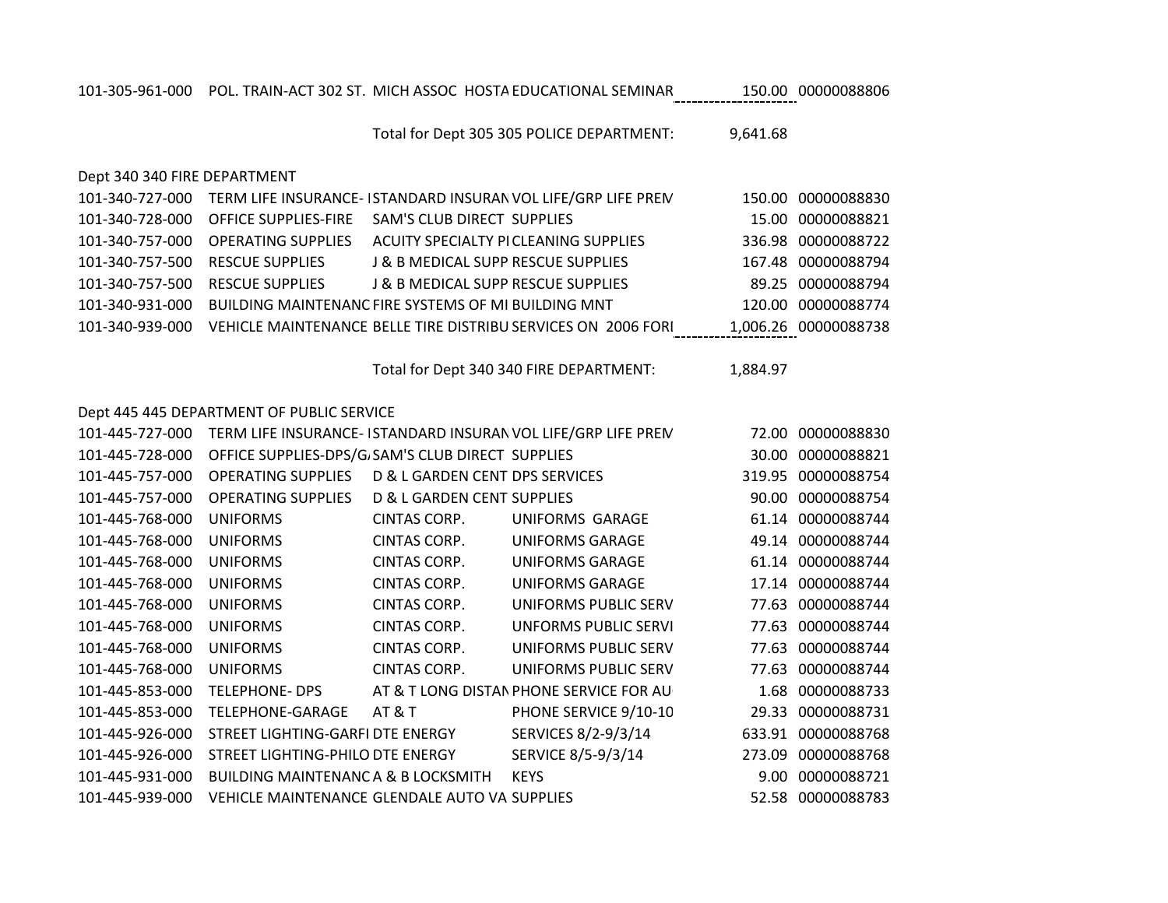| 101-340-931-000 | BUILDING MAINTENANC FIRE SYSTEMS OF MI BUILDING MNT |                                           |                                                               |          | 120.00 00000088774   |
|-----------------|-----------------------------------------------------|-------------------------------------------|---------------------------------------------------------------|----------|----------------------|
| 101-340-939-000 |                                                     |                                           | VEHICLE MAINTENANCE BELLE TIRE DISTRIBU SERVICES ON 2006 FORI |          | 1,006.26 00000088738 |
|                 |                                                     |                                           |                                                               |          |                      |
|                 |                                                     |                                           | Total for Dept 340 340 FIRE DEPARTMENT:                       | 1,884.97 |                      |
|                 |                                                     |                                           |                                                               |          |                      |
|                 | Dept 445 445 DEPARTMENT OF PUBLIC SERVICE           |                                           |                                                               |          |                      |
| 101-445-727-000 |                                                     |                                           | TERM LIFE INSURANCE-ISTANDARD INSURAN VOL LIFE/GRP LIFE PREN  | 72.00    | 00000088830          |
| 101-445-728-000 | OFFICE SUPPLIES-DPS/G. SAM'S CLUB DIRECT SUPPLIES   |                                           |                                                               | 30.00    | 00000088821          |
| 101-445-757-000 | <b>OPERATING SUPPLIES</b>                           | <b>D &amp; L GARDEN CENT DPS SERVICES</b> |                                                               | 319.95   | 00000088754          |
| 101-445-757-000 | <b>OPERATING SUPPLIES</b>                           | D & L GARDEN CENT SUPPLIES                |                                                               | 90.00    | 00000088754          |
| 101-445-768-000 | <b>UNIFORMS</b>                                     | CINTAS CORP.                              | UNIFORMS GARAGE                                               |          | 61.14 00000088744    |
| 101-445-768-000 | <b>UNIFORMS</b>                                     | CINTAS CORP.                              | <b>UNIFORMS GARAGE</b>                                        |          | 49.14 00000088744    |
| 101-445-768-000 | <b>UNIFORMS</b>                                     | CINTAS CORP.                              | <b>UNIFORMS GARAGE</b>                                        |          | 61.14 00000088744    |
| 101-445-768-000 | <b>UNIFORMS</b>                                     | CINTAS CORP.                              | <b>UNIFORMS GARAGE</b>                                        | 17.14    | 00000088744          |
| 101-445-768-000 | <b>UNIFORMS</b>                                     | CINTAS CORP.                              | UNIFORMS PUBLIC SERV                                          |          | 77.63 00000088744    |
| 101-445-768-000 | <b>UNIFORMS</b>                                     | CINTAS CORP.                              | <b>UNFORMS PUBLIC SERVI</b>                                   | 77.63    | 00000088744          |
| 101-445-768-000 | <b>UNIFORMS</b>                                     | CINTAS CORP.                              | UNIFORMS PUBLIC SERV                                          |          | 77.63 00000088744    |
| 101-445-768-000 | <b>UNIFORMS</b>                                     | CINTAS CORP.                              | UNIFORMS PUBLIC SERV                                          | 77.63    | 00000088744          |
| 101-445-853-000 | <b>TELEPHONE- DPS</b>                               |                                           | AT & T LONG DISTAN PHONE SERVICE FOR AU                       | 1.68     | 00000088733          |
| 101-445-853-000 | <b>TELEPHONE-GARAGE</b>                             | AT&T                                      | PHONE SERVICE 9/10-10                                         | 29.33    | 00000088731          |
| 101-445-926-000 | STREET LIGHTING-GARFI DTE ENERGY                    |                                           | SERVICES 8/2-9/3/14                                           | 633.91   | 00000088768          |
| 101-445-926-000 | STREET LIGHTING-PHILO DTE ENERGY                    |                                           | SERVICE 8/5-9/3/14                                            | 273.09   | 00000088768          |
| 101-445-931-000 | <b>BUILDING MAINTENANCA &amp; B LOCKSMITH</b>       |                                           | <b>KEYS</b>                                                   | 9.00     | 00000088721          |
| 101-445-939-000 | VEHICLE MAINTENANCE GLENDALE AUTO VAISUPPLIES       |                                           |                                                               |          | 52.58 00000088783    |
|                 |                                                     |                                           |                                                               |          |                      |

## 101-340-728-000 OFFICE SUPPLIES-FIRE SAM'S CLUB DIRECT SUPPLIES 15.00 00000088821 101-340-757-000 OPERATING SUPPLIES ACUITY SPECIALTY PICLEANING SUPPLIES 336.98 00000088722 101-340-757-500 RESCUE SUPPLIES J& B MEDICAL SUPP RESCUE SUPPLIES 167.48 00000088794 101-340-757-500 RESCUE SUPPLIES J & B MEDICAL SUPPLY, INC. RESCUE SUPPLIES 89.25 00000088794

101-340-727-000 TERM LIFE INSURANCE- ISTANDARD INSURAN VOL LIFE/GRP LIFE PREM 150.00 00000088830

Dept 340 340 FIRE DEPARTMENT

Total for Dept 305 305 POLICE DEPARTMENT: 9,641.68

101-305-961-000 POL. TRAIN-ACT 302 ST. MICH ASSOC HOSTA EDUCATIONAL SEMINAR 150.00 00000088806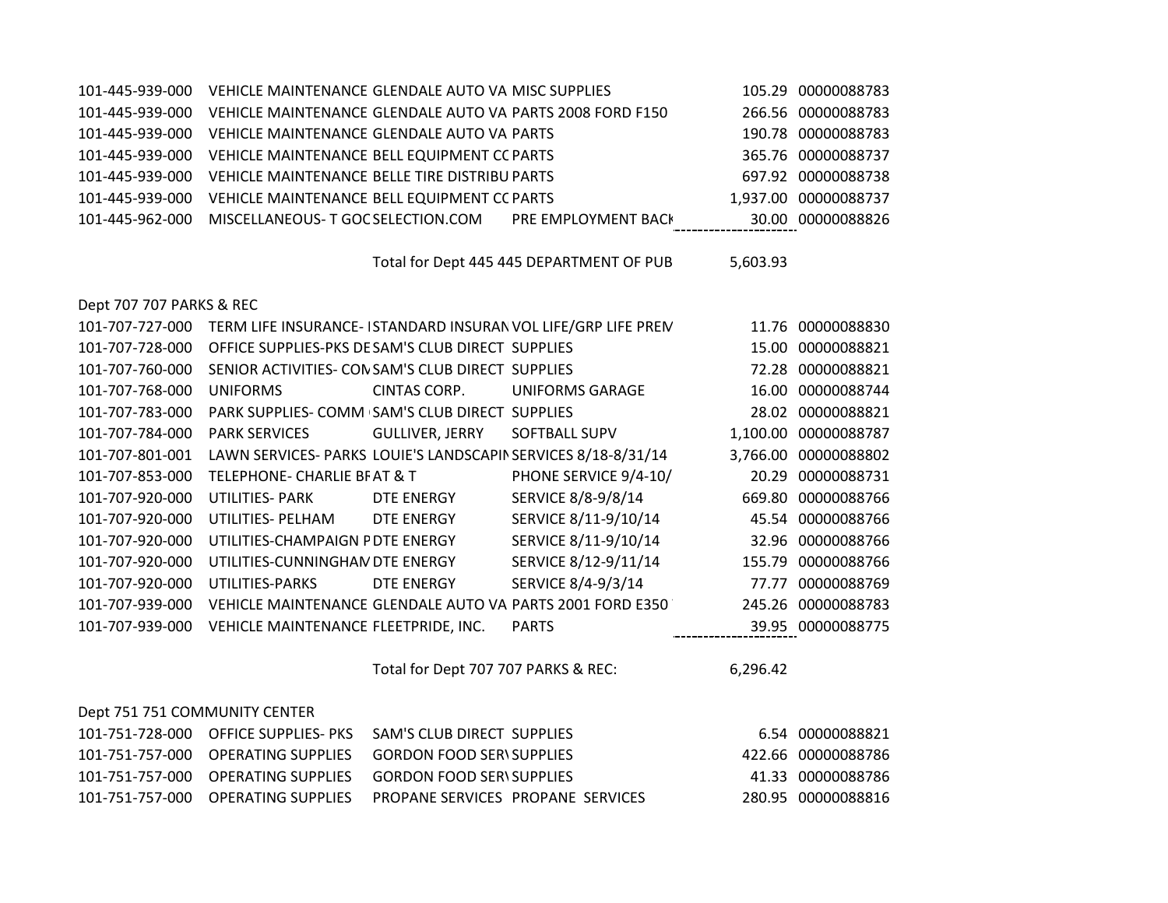| 101-445-939-000 | VEHICLE MAINTENANCE GLENDALE AUTO VAIMISC SUPPLIES        |                            | 105.29 00000088783   |
|-----------------|-----------------------------------------------------------|----------------------------|----------------------|
| 101-445-939-000 | VEHICLE MAINTENANCE GLENDALE AUTO VA PARTS 2008 FORD F150 |                            | 266.56 00000088783   |
| 101-445-939-000 | VEHICLE MAINTENANCE GLENDALE AUTO VAI PARTS               |                            | 190.78 00000088783   |
| 101-445-939-000 | VEHICLE MAINTENANCE BELL EQUIPMENT CC PARTS               |                            | 365.76 00000088737   |
| 101-445-939-000 | VEHICLE MAINTENANCE BELLE TIRE DISTRIBU PARTS             |                            | 697.92 00000088738   |
| 101-445-939-000 | VEHICLE MAINTENANCE BELL EQUIPMENT CC PARTS               |                            | 1,937.00 00000088737 |
| 101-445-962-000 | MISCELLANEOUS- T GOC SELECTION.COM                        | <b>PRE EMPLOYMENT BACK</b> | 30.00 00000088826    |

Total for Dept 445 445 DEPARTMENT OF PUB 5,603.93

Dept 707 707 PARKS & REC

|                      |                                                                                                                                                                                                                                           |                                                                                                                                                                                                                           | 11.76 00000088830                                                                                                                                                                                                                                                         |
|----------------------|-------------------------------------------------------------------------------------------------------------------------------------------------------------------------------------------------------------------------------------------|---------------------------------------------------------------------------------------------------------------------------------------------------------------------------------------------------------------------------|---------------------------------------------------------------------------------------------------------------------------------------------------------------------------------------------------------------------------------------------------------------------------|
|                      |                                                                                                                                                                                                                                           |                                                                                                                                                                                                                           | 00000088821                                                                                                                                                                                                                                                               |
|                      |                                                                                                                                                                                                                                           |                                                                                                                                                                                                                           | 00000088821                                                                                                                                                                                                                                                               |
| <b>UNIFORMS</b>      | <b>UNIFORMS GARAGE</b>                                                                                                                                                                                                                    |                                                                                                                                                                                                                           | 00000088744                                                                                                                                                                                                                                                               |
|                      |                                                                                                                                                                                                                                           |                                                                                                                                                                                                                           | 00000088821                                                                                                                                                                                                                                                               |
| <b>PARK SERVICES</b> | SOFTBALL SUPV                                                                                                                                                                                                                             |                                                                                                                                                                                                                           | 00000088787                                                                                                                                                                                                                                                               |
|                      |                                                                                                                                                                                                                                           |                                                                                                                                                                                                                           | 00000088802                                                                                                                                                                                                                                                               |
|                      |                                                                                                                                                                                                                                           |                                                                                                                                                                                                                           | 00000088731                                                                                                                                                                                                                                                               |
| UTILITIES- PARK      | SERVICE 8/8-9/8/14                                                                                                                                                                                                                        |                                                                                                                                                                                                                           | 00000088766                                                                                                                                                                                                                                                               |
| UTILITIES- PELHAM    | SERVICE 8/11-9/10/14                                                                                                                                                                                                                      |                                                                                                                                                                                                                           | 45.54 00000088766                                                                                                                                                                                                                                                         |
|                      | SERVICE 8/11-9/10/14                                                                                                                                                                                                                      |                                                                                                                                                                                                                           | 00000088766                                                                                                                                                                                                                                                               |
|                      | SERVICE 8/12-9/11/14                                                                                                                                                                                                                      |                                                                                                                                                                                                                           | 00000088766                                                                                                                                                                                                                                                               |
| UTILITIES-PARKS      | SERVICE 8/4-9/3/14                                                                                                                                                                                                                        | 77.77                                                                                                                                                                                                                     | 00000088769                                                                                                                                                                                                                                                               |
|                      |                                                                                                                                                                                                                                           |                                                                                                                                                                                                                           | 00000088783                                                                                                                                                                                                                                                               |
|                      | <b>PARTS</b>                                                                                                                                                                                                                              |                                                                                                                                                                                                                           | 00000088775                                                                                                                                                                                                                                                               |
|                      | CINTAS CORP.<br><b>GULLIVER, JERRY</b><br><b>TELEPHONE- CHARLIE BF AT &amp; T</b><br>DTE ENERGY<br>DTE ENERGY<br>UTILITIES-CHAMPAIGN PDTE ENERGY<br>UTILITIES-CUNNINGHAN DTE ENERGY<br>DTE ENERGY<br>VEHICLE MAINTENANCE FLEETPRIDE, INC. | OFFICE SUPPLIES-PKS DE SAM'S CLUB DIRECT SUPPLIES<br>SENIOR ACTIVITIES- CON SAM'S CLUB DIRECT SUPPLIES<br>PARK SUPPLIES- COMM SAM'S CLUB DIRECT SUPPLIES<br>LAWN SERVICES- PARKS LOUIE'S LANDSCAPIN SERVICES 8/18-8/31/14 | TERM LIFE INSURANCE- ISTANDARD INSURAN VOL LIFE/GRP LIFE PREN<br>15.00<br>72.28<br>16.00<br>28.02<br>1,100.00<br>3,766.00<br>PHONE SERVICE 9/4-10/<br>20.29<br>669.80<br>32.96<br>155.79<br>VEHICLE MAINTENANCE GLENDALE AUTO VAI PARTS 2001 FORD E350<br>245.26<br>39.95 |

Total for Dept 707 707 PARKS & REC: 6,296.42

| Dept 751 751 COMMUNITY CENTER |                                                                               |                    |
|-------------------------------|-------------------------------------------------------------------------------|--------------------|
|                               |                                                                               | 6.54 00000088821   |
|                               |                                                                               | 422.66 00000088786 |
|                               |                                                                               | 41.33 00000088786  |
|                               | 101-751-757-000    OPERATING SUPPLIES     PROPANE SERVICES  PROPANE  SERVICES | 280.95 00000088816 |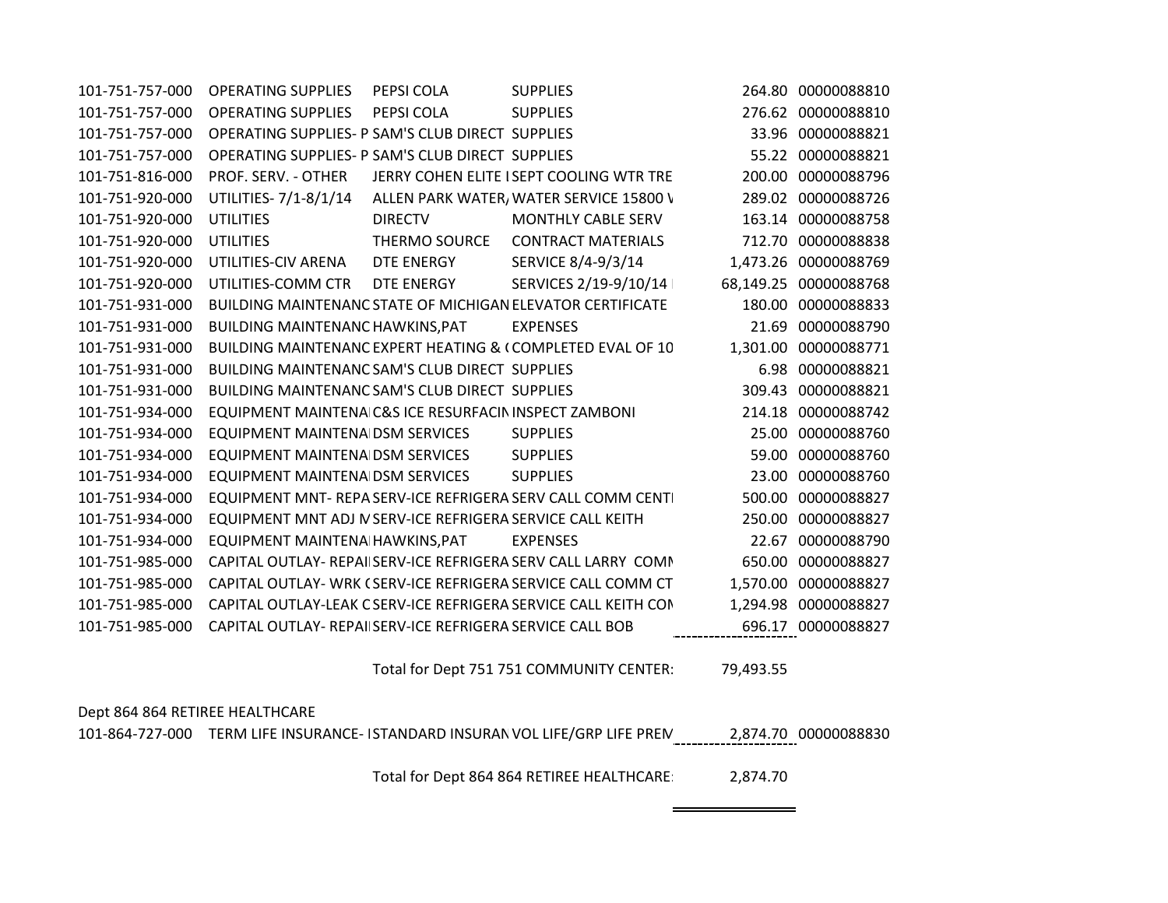| 101-751-757-000 | <b>OPERATING SUPPLIES</b>                                  | PEPSI COLA           | <b>SUPPLIES</b>                                                 |          | 264.80 00000088810    |
|-----------------|------------------------------------------------------------|----------------------|-----------------------------------------------------------------|----------|-----------------------|
| 101-751-757-000 | <b>OPERATING SUPPLIES</b>                                  | PEPSI COLA           | <b>SUPPLIES</b>                                                 |          | 276.62 00000088810    |
| 101-751-757-000 | OPERATING SUPPLIES- P SAM'S CLUB DIRECT SUPPLIES           |                      |                                                                 |          | 33.96 00000088821     |
| 101-751-757-000 | OPERATING SUPPLIES- P SAM'S CLUB DIRECT SUPPLIES           |                      |                                                                 |          | 55.22 00000088821     |
| 101-751-816-000 | PROF. SERV. - OTHER                                        |                      | JERRY COHEN ELITE I SEPT COOLING WTR TRE                        | 200.00   | 00000088796           |
| 101-751-920-000 | UTILITIES- 7/1-8/1/14                                      |                      | ALLEN PARK WATER, WATER SERVICE 15800 V                         |          | 289.02 00000088726    |
| 101-751-920-000 | <b>UTILITIES</b>                                           | <b>DIRECTV</b>       | <b>MONTHLY CABLE SERV</b>                                       |          | 163.14 00000088758    |
| 101-751-920-000 | <b>UTILITIES</b>                                           | <b>THERMO SOURCE</b> | <b>CONTRACT MATERIALS</b>                                       |          | 712.70 00000088838    |
| 101-751-920-000 | UTILITIES-CIV ARENA                                        | DTE ENERGY           | SERVICE 8/4-9/3/14                                              | 1,473.26 | 00000088769           |
| 101-751-920-000 | UTILITIES-COMM CTR                                         | DTE ENERGY           | SERVICES 2/19-9/10/14                                           |          | 68,149.25 00000088768 |
| 101-751-931-000 |                                                            |                      | BUILDING MAINTENANC STATE OF MICHIGAN ELEVATOR CERTIFICATE      | 180.00   | 00000088833           |
| 101-751-931-000 | BUILDING MAINTENANC HAWKINS, PAT                           |                      | <b>EXPENSES</b>                                                 | 21.69    | 00000088790           |
| 101-751-931-000 |                                                            |                      | BUILDING MAINTENANC EXPERT HEATING & (COMPLETED EVAL OF 10      |          | 1,301.00 00000088771  |
| 101-751-931-000 | BUILDING MAINTENANC SAM'S CLUB DIRECT SUPPLIES             |                      |                                                                 |          | 6.98 00000088821      |
| 101-751-931-000 | BUILDING MAINTENANC SAM'S CLUB DIRECT SUPPLIES             |                      |                                                                 |          | 309.43 00000088821    |
| 101-751-934-000 | EQUIPMENT MAINTENA C&S ICE RESURFACIN INSPECT ZAMBONI      |                      |                                                                 | 214.18   | 00000088742           |
| 101-751-934-000 | EQUIPMENT MAINTENA DSM SERVICES                            |                      | <b>SUPPLIES</b>                                                 | 25.00    | 00000088760           |
| 101-751-934-000 | <b>EQUIPMENT MAINTENA DSM SERVICES</b>                     |                      | <b>SUPPLIES</b>                                                 | 59.00    | 00000088760           |
| 101-751-934-000 | EQUIPMENT MAINTENA DSM SERVICES                            |                      | <b>SUPPLIES</b>                                                 | 23.00    | 00000088760           |
| 101-751-934-000 |                                                            |                      | EQUIPMENT MNT- REPA SERV-ICE REFRIGERA SERV CALL COMM CENTI     | 500.00   | 00000088827           |
| 101-751-934-000 | EQUIPMENT MNT ADJ IV SERV-ICE REFRIGERA SERVICE CALL KEITH |                      |                                                                 | 250.00   | 00000088827           |
| 101-751-934-000 | EQUIPMENT MAINTENA HAWKINS, PAT                            |                      | <b>EXPENSES</b>                                                 | 22.67    | 00000088790           |
| 101-751-985-000 |                                                            |                      | CAPITAL OUTLAY- REPAI SERV-ICE REFRIGERA SERV CALL LARRY COMM   | 650.00   | 00000088827           |
| 101-751-985-000 |                                                            |                      | CAPITAL OUTLAY- WRK (SERV-ICE REFRIGERA SERVICE CALL COMM CT    | 1,570.00 | 00000088827           |
| 101-751-985-000 |                                                            |                      | CAPITAL OUTLAY-LEAK C SERV-ICE REFRIGERA SERVICE CALL KEITH CON | 1,294.98 | 00000088827           |
| 101-751-985-000 | CAPITAL OUTLAY- REPAII SERV-ICE REFRIGERA SERVICE CALL BOB |                      |                                                                 |          | 696.17 00000088827    |
|                 |                                                            |                      |                                                                 |          |                       |

Total for Dept 751 751 COMMUNITY CENTER: 79,493.55

## Dept 864 864 RETIREE HEALTHCARE 101-864-727-000 TERM LIFE INSURANCE- ISTANDARD INSURAN VOL LIFE/GRP LIFE PREN 2,874.70 00000088830 Total for Dept 864 864 RETIREE HEALTHCARE: 2,874.70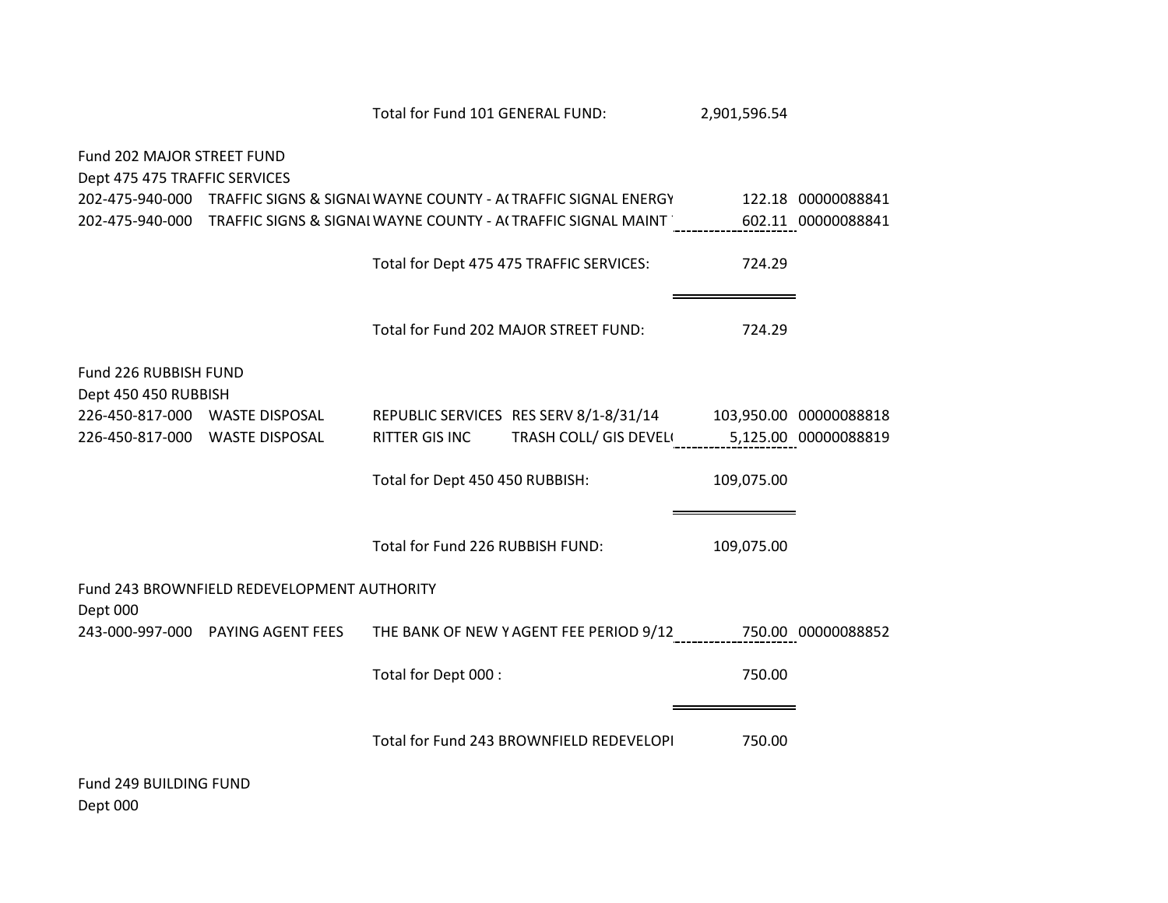|                                                             |                                             | Total for Fund 101 GENERAL FUND: |                                                                               | 2,901,596.54 |                    |
|-------------------------------------------------------------|---------------------------------------------|----------------------------------|-------------------------------------------------------------------------------|--------------|--------------------|
| Fund 202 MAJOR STREET FUND<br>Dept 475 475 TRAFFIC SERVICES |                                             |                                  |                                                                               |              |                    |
|                                                             |                                             |                                  | 202-475-940-000 TRAFFIC SIGNS & SIGNAI WAYNE COUNTY - ACTRAFFIC SIGNAL ENERGY |              | 122.18 00000088841 |
|                                                             |                                             |                                  | 202-475-940-000 TRAFFIC SIGNS & SIGNAI WAYNE COUNTY - ACTRAFFIC SIGNAL MAINT  |              | 602.11 00000088841 |
|                                                             |                                             |                                  | Total for Dept 475 475 TRAFFIC SERVICES:                                      | 724.29       |                    |
|                                                             |                                             |                                  | Total for Fund 202 MAJOR STREET FUND:                                         | 724.29       |                    |
| Fund 226 RUBBISH FUND<br>Dept 450 450 RUBBISH               |                                             |                                  |                                                                               |              |                    |
|                                                             | 226-450-817-000 WASTE DISPOSAL              |                                  | REPUBLIC SERVICES RES SERV 8/1-8/31/14 103,950.00 00000088818                 |              |                    |
|                                                             | 226-450-817-000 WASTE DISPOSAL              | RITTER GIS INC                   | TRASH COLL/ GIS DEVEL 5,125.00 00000088819                                    |              |                    |
|                                                             |                                             | Total for Dept 450 450 RUBBISH:  |                                                                               | 109,075.00   |                    |
|                                                             |                                             | Total for Fund 226 RUBBISH FUND: |                                                                               | 109,075.00   |                    |
|                                                             | Fund 243 BROWNFIELD REDEVELOPMENT AUTHORITY |                                  |                                                                               |              |                    |
| Dept 000                                                    | 243-000-997-000 PAYING AGENT FEES           |                                  | THE BANK OF NEW YAGENT FEE PERIOD 9/12                                        |              | 750.00 00000088852 |
|                                                             |                                             | Total for Dept 000 :             |                                                                               | 750.00       |                    |
| $F_{\text{total}}$ 240 DUILDING FUND                        |                                             |                                  | Total for Fund 243 BROWNFIELD REDEVELOPI                                      | 750.00       |                    |

Fund 249 BUILDING FUND Dept 000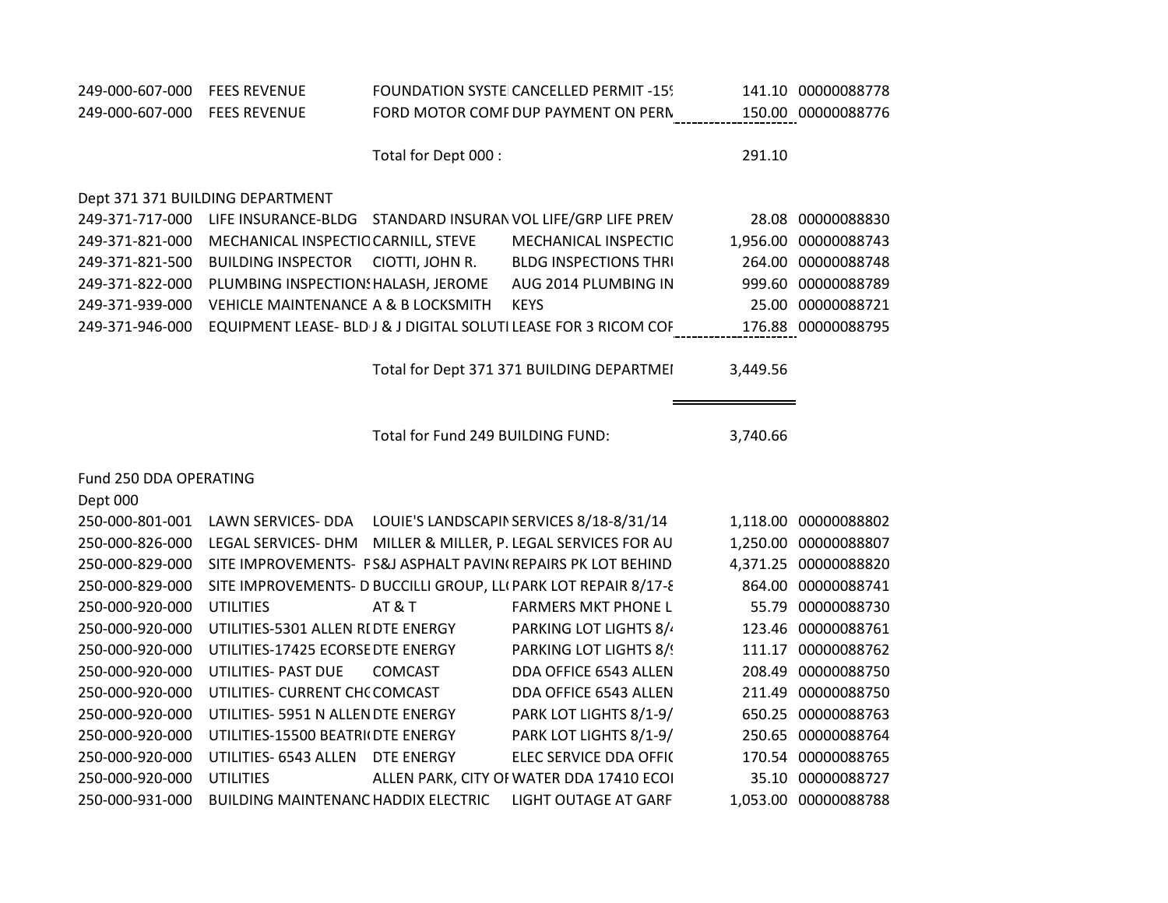| 249-000-607-000        | <b>FEES REVENUE</b>                        |                                   | FOUNDATION SYSTEICANCELLED PERMIT-159                           |          | 141.10 00000088778   |
|------------------------|--------------------------------------------|-----------------------------------|-----------------------------------------------------------------|----------|----------------------|
| 249-000-607-000        | <b>FEES REVENUE</b>                        |                                   | FORD MOTOR COMF DUP PAYMENT ON PERN                             |          | 150.00 00000088776   |
|                        |                                            | Total for Dept 000 :              |                                                                 | 291.10   |                      |
|                        | Dept 371 371 BUILDING DEPARTMENT           |                                   |                                                                 |          |                      |
| 249-371-717-000        |                                            |                                   | LIFE INSURANCE-BLDG STANDARD INSURAN VOL LIFE/GRP LIFE PREN     |          | 28.08 00000088830    |
| 249-371-821-000        | MECHANICAL INSPECTIC CARNILL, STEVE        |                                   | MECHANICAL INSPECTIC                                            |          | 1,956.00 00000088743 |
| 249-371-821-500        | <b>BUILDING INSPECTOR</b>                  | CIOTTI, JOHN R.                   | <b>BLDG INSPECTIONS THRI</b>                                    |          | 264.00 00000088748   |
| 249-371-822-000        | PLUMBING INSPECTION: HALASH, JEROME        |                                   | AUG 2014 PLUMBING IN                                            |          | 999.60 00000088789   |
| 249-371-939-000        | VEHICLE MAINTENANCE A & B LOCKSMITH        |                                   | <b>KEYS</b>                                                     |          | 25.00 00000088721    |
| 249-371-946-000        |                                            |                                   | EQUIPMENT LEASE- BLD J & J DIGITAL SOLUTI LEASE FOR 3 RICOM COF |          | 176.88 00000088795   |
|                        |                                            |                                   | Total for Dept 371 371 BUILDING DEPARTMEI                       | 3,449.56 |                      |
|                        |                                            | Total for Fund 249 BUILDING FUND: |                                                                 | 3,740.66 |                      |
| Fund 250 DDA OPERATING |                                            |                                   |                                                                 |          |                      |
| Dept 000               |                                            |                                   |                                                                 |          |                      |
| 250-000-801-001        |                                            |                                   | LAWN SERVICES- DDA LOUIE'S LANDSCAPIN SERVICES 8/18-8/31/14     |          | 1,118.00 00000088802 |
| 250-000-826-000        | LEGAL SERVICES- DHM                        |                                   | MILLER & MILLER, P. LEGAL SERVICES FOR AU                       |          | 1,250.00 00000088807 |
| 250-000-829-000        |                                            |                                   | SITE IMPROVEMENTS- FS&J ASPHALT PAVIN(REPAIRS PK LOT BEHIND     |          | 4,371.25 00000088820 |
| 250-000-829-000        |                                            |                                   | SITE IMPROVEMENTS- D BUCCILLI GROUP, LL(PARK LOT REPAIR 8/17-8  |          | 864.00 00000088741   |
| 250-000-920-000        | <b>UTILITIES</b>                           | AT&T                              | <b>FARMERS MKT PHONE L</b>                                      |          | 55.79 00000088730    |
| 250-000-920-000        | UTILITIES-5301 ALLEN RI DTE ENERGY         |                                   | PARKING LOT LIGHTS 8/                                           |          | 123.46 00000088761   |
| 250-000-920-000        | UTILITIES-17425 ECORSE DTE ENERGY          |                                   | <b>PARKING LOT LIGHTS 8/!</b>                                   |          | 111.17 00000088762   |
| 250-000-920-000        | UTILITIES- PAST DUE                        | <b>COMCAST</b>                    | DDA OFFICE 6543 ALLEN                                           |          | 208.49 00000088750   |
| 250-000-920-000        | UTILITIES- CURRENT CHC COMCAST             |                                   | DDA OFFICE 6543 ALLEN                                           |          | 211.49 00000088750   |
| 250-000-920-000        | UTILITIES- 5951 N ALLENDTE ENERGY          |                                   | PARK LOT LIGHTS 8/1-9/                                          |          | 650.25 00000088763   |
| 250-000-920-000        | UTILITIES-15500 BEATRI(DTE ENERGY          |                                   | PARK LOT LIGHTS 8/1-9/                                          |          | 250.65 00000088764   |
| 250-000-920-000        | UTILITIES- 6543 ALLEN                      | <b>DTE ENERGY</b>                 | ELEC SERVICE DDA OFFIC                                          |          | 170.54 00000088765   |
| 250-000-920-000        | <b>UTILITIES</b>                           |                                   | ALLEN PARK, CITY OF WATER DDA 17410 ECOI                        |          | 35.10 00000088727    |
| 250-000-931-000        | <b>BUILDING MAINTENANC HADDIX ELECTRIC</b> |                                   | <b>LIGHT OUTAGE AT GARF</b>                                     |          | 1,053.00 00000088788 |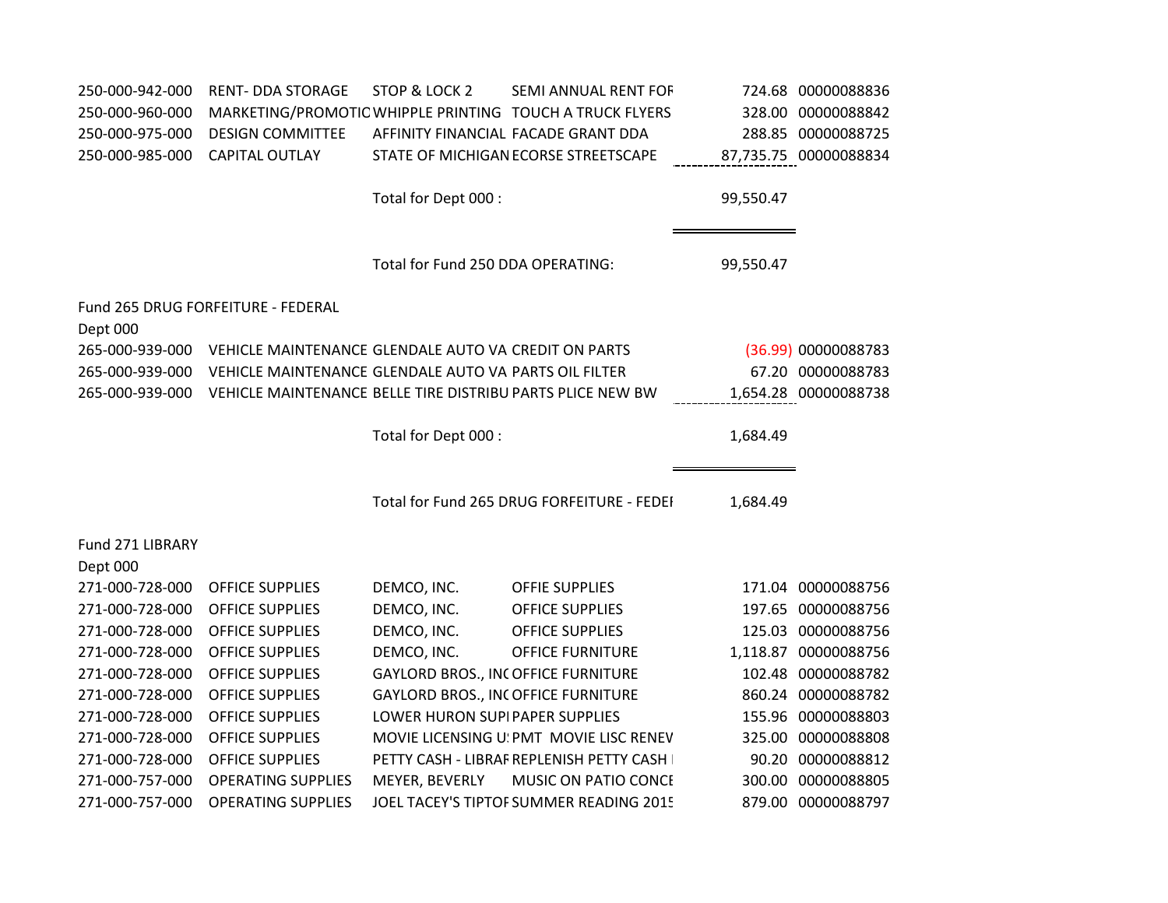| 250-000-942-000              | <b>RENT- DDA STORAGE</b>                                   | STOP & LOCK 2                             | SEMI ANNUAL RENT FOF                                     |           | 724.68 00000088836    |
|------------------------------|------------------------------------------------------------|-------------------------------------------|----------------------------------------------------------|-----------|-----------------------|
| 250-000-960-000              |                                                            |                                           | MARKETING/PROMOTIC WHIPPLE PRINTING TOUCH A TRUCK FLYERS |           | 328.00 00000088842    |
| 250-000-975-000              | <b>DESIGN COMMITTEE</b>                                    |                                           | AFFINITY FINANCIAL FACADE GRANT DDA                      |           | 288.85 00000088725    |
| 250-000-985-000              | <b>CAPITAL OUTLAY</b>                                      |                                           | STATE OF MICHIGAN ECORSE STREETSCAPE                     |           | 87,735.75 00000088834 |
|                              |                                                            | Total for Dept 000 :                      |                                                          | 99,550.47 |                       |
|                              |                                                            | Total for Fund 250 DDA OPERATING:         |                                                          | 99,550.47 |                       |
| Dept 000                     | Fund 265 DRUG FORFEITURE - FEDERAL                         |                                           |                                                          |           |                       |
| 265-000-939-000              | VEHICLE MAINTENANCE GLENDALE AUTO VAICREDIT ON PARTS       |                                           |                                                          |           | (36.99) 00000088783   |
| 265-000-939-000              | VEHICLE MAINTENANCE GLENDALE AUTO VAI PARTS OIL FILTER     |                                           |                                                          |           | 67.20 00000088783     |
| 265-000-939-000              | VEHICLE MAINTENANCE BELLE TIRE DISTRIBU PARTS PLICE NEW BW |                                           |                                                          |           | 1,654.28 00000088738  |
|                              |                                                            | Total for Dept 000 :                      |                                                          | 1,684.49  |                       |
|                              |                                                            |                                           | Total for Fund 265 DRUG FORFEITURE - FEDEI               | 1,684.49  |                       |
| Fund 271 LIBRARY<br>Dept 000 |                                                            |                                           |                                                          |           |                       |
| 271-000-728-000              | <b>OFFICE SUPPLIES</b>                                     | DEMCO, INC.                               | <b>OFFIE SUPPLIES</b>                                    |           | 171.04 00000088756    |
| 271-000-728-000              | <b>OFFICE SUPPLIES</b>                                     | DEMCO, INC.                               | <b>OFFICE SUPPLIES</b>                                   |           | 197.65 00000088756    |
| 271-000-728-000              | <b>OFFICE SUPPLIES</b>                                     | DEMCO, INC.                               | <b>OFFICE SUPPLIES</b>                                   |           | 125.03 00000088756    |
| 271-000-728-000              | <b>OFFICE SUPPLIES</b>                                     | DEMCO, INC.                               | <b>OFFICE FURNITURE</b>                                  |           | 1,118.87 00000088756  |
| 271-000-728-000              | <b>OFFICE SUPPLIES</b>                                     | GAYLORD BROS., INCOFFICE FURNITURE        |                                                          |           | 102.48 00000088782    |
| 271-000-728-000              | <b>OFFICE SUPPLIES</b>                                     | <b>GAYLORD BROS., INCOFFICE FURNITURE</b> |                                                          |           | 860.24 00000088782    |
| 271-000-728-000              | <b>OFFICE SUPPLIES</b>                                     | LOWER HURON SUPIPAPER SUPPLIES            |                                                          |           | 155.96 00000088803    |
| 271-000-728-000              | <b>OFFICE SUPPLIES</b>                                     |                                           | MOVIE LICENSING U! PMT MOVIE LISC RENEV                  |           | 325.00 00000088808    |
| 271-000-728-000              | <b>OFFICE SUPPLIES</b>                                     |                                           | PETTY CASH - LIBRAF REPLENISH PETTY CASH I               |           | 90.20 00000088812     |
| 271-000-757-000              | <b>OPERATING SUPPLIES</b>                                  | MEYER, BEVERLY                            | MUSIC ON PATIO CONCE                                     |           | 300.00 00000088805    |
| 271-000-757-000              | <b>OPERATING SUPPLIES</b>                                  |                                           | JOEL TACEY'S TIPTOF SUMMER READING 2015                  |           | 879.00 00000088797    |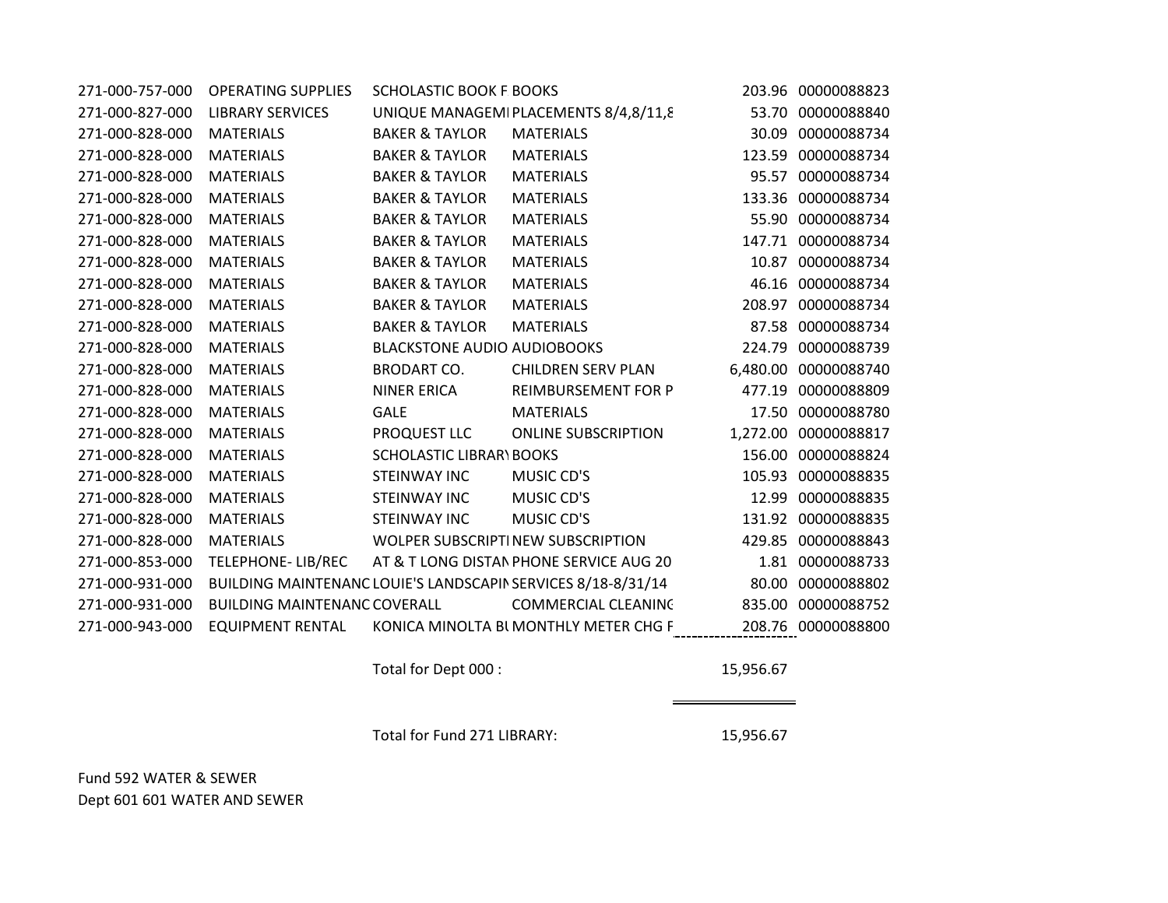| 271-000-757-000 | <b>OPERATING SUPPLIES</b>           | <b>SCHOLASTIC BOOK F BOOKS</b>     |                                                              |          | 203.96 00000088823   |
|-----------------|-------------------------------------|------------------------------------|--------------------------------------------------------------|----------|----------------------|
| 271-000-827-000 | <b>LIBRARY SERVICES</b>             |                                    | UNIQUE MANAGEMIPLACEMENTS 8/4,8/11,8                         | 53.70    | 00000088840          |
| 271-000-828-000 | <b>MATERIALS</b>                    | <b>BAKER &amp; TAYLOR</b>          | <b>MATERIALS</b>                                             | 30.09    | 00000088734          |
| 271-000-828-000 | <b>MATERIALS</b>                    | <b>BAKER &amp; TAYLOR</b>          | <b>MATERIALS</b>                                             | 123.59   | 00000088734          |
| 271-000-828-000 | <b>MATERIALS</b>                    | <b>BAKER &amp; TAYLOR</b>          | <b>MATERIALS</b>                                             |          | 95.57 00000088734    |
| 271-000-828-000 | <b>MATERIALS</b>                    | <b>BAKER &amp; TAYLOR</b>          | <b>MATERIALS</b>                                             | 133.36   | 00000088734          |
| 271-000-828-000 | <b>MATERIALS</b>                    | <b>BAKER &amp; TAYLOR</b>          | <b>MATERIALS</b>                                             | 55.90    | 00000088734          |
| 271-000-828-000 | <b>MATERIALS</b>                    | <b>BAKER &amp; TAYLOR</b>          | <b>MATERIALS</b>                                             |          | 147.71 00000088734   |
| 271-000-828-000 | <b>MATERIALS</b>                    | <b>BAKER &amp; TAYLOR</b>          | <b>MATERIALS</b>                                             | 10.87    | 00000088734          |
| 271-000-828-000 | <b>MATERIALS</b>                    | <b>BAKER &amp; TAYLOR</b>          | <b>MATERIALS</b>                                             |          | 46.16 00000088734    |
| 271-000-828-000 | <b>MATERIALS</b>                    | <b>BAKER &amp; TAYLOR</b>          | <b>MATERIALS</b>                                             | 208.97   | 00000088734          |
| 271-000-828-000 | <b>MATERIALS</b>                    | <b>BAKER &amp; TAYLOR</b>          | <b>MATERIALS</b>                                             |          | 87.58 00000088734    |
| 271-000-828-000 | <b>MATERIALS</b>                    | <b>BLACKSTONE AUDIO AUDIOBOOKS</b> |                                                              | 224.79   | 00000088739          |
| 271-000-828-000 | <b>MATERIALS</b>                    | <b>BRODART CO.</b>                 | <b>CHILDREN SERV PLAN</b>                                    |          | 6,480.00 00000088740 |
| 271-000-828-000 | <b>MATERIALS</b>                    | <b>NINER ERICA</b>                 | REIMBURSEMENT FOR P                                          | 477.19   | 00000088809          |
| 271-000-828-000 | <b>MATERIALS</b>                    | <b>GALE</b>                        | <b>MATERIALS</b>                                             | 17.50    | 00000088780          |
| 271-000-828-000 | <b>MATERIALS</b>                    | PROQUEST LLC                       | <b>ONLINE SUBSCRIPTION</b>                                   | 1,272.00 | 00000088817          |
| 271-000-828-000 | <b>MATERIALS</b>                    | <b>SCHOLASTIC LIBRAR\BOOKS</b>     |                                                              | 156.00   | 00000088824          |
| 271-000-828-000 | <b>MATERIALS</b>                    | <b>STEINWAY INC</b>                | MUSIC CD'S                                                   |          | 105.93 00000088835   |
| 271-000-828-000 | <b>MATERIALS</b>                    | STEINWAY INC                       | MUSIC CD'S                                                   | 12.99    | 00000088835          |
| 271-000-828-000 | <b>MATERIALS</b>                    | <b>STEINWAY INC</b>                | MUSIC CD'S                                                   |          | 131.92 00000088835   |
| 271-000-828-000 | <b>MATERIALS</b>                    |                                    | WOLPER SUBSCRIPTINEW SUBSCRIPTION                            | 429.85   | 00000088843          |
| 271-000-853-000 | TELEPHONE-LIB/REC                   |                                    | AT & T LONG DISTAN PHONE SERVICE AUG 20                      |          | 1.81 00000088733     |
| 271-000-931-000 |                                     |                                    | BUILDING MAINTENANC LOUIE'S LANDSCAPIN SERVICES 8/18-8/31/14 | 80.00    | 00000088802          |
| 271-000-931-000 | <b>BUILDING MAINTENANC COVERALL</b> |                                    | <b>COMMERCIAL CLEANING</b>                                   | 835.00   | 00000088752          |
| 271-000-943-000 | <b>EQUIPMENT RENTAL</b>             |                                    | KONICA MINOLTA BLMONTHLY METER CHG F                         |          | 208.76 00000088800   |

Total for Dept 000 : 15,956.67

Total for Fund 271 LIBRARY: 15,956.67

Fund 592 WATER & SEWER Dept 601 601 WATER AND SEWER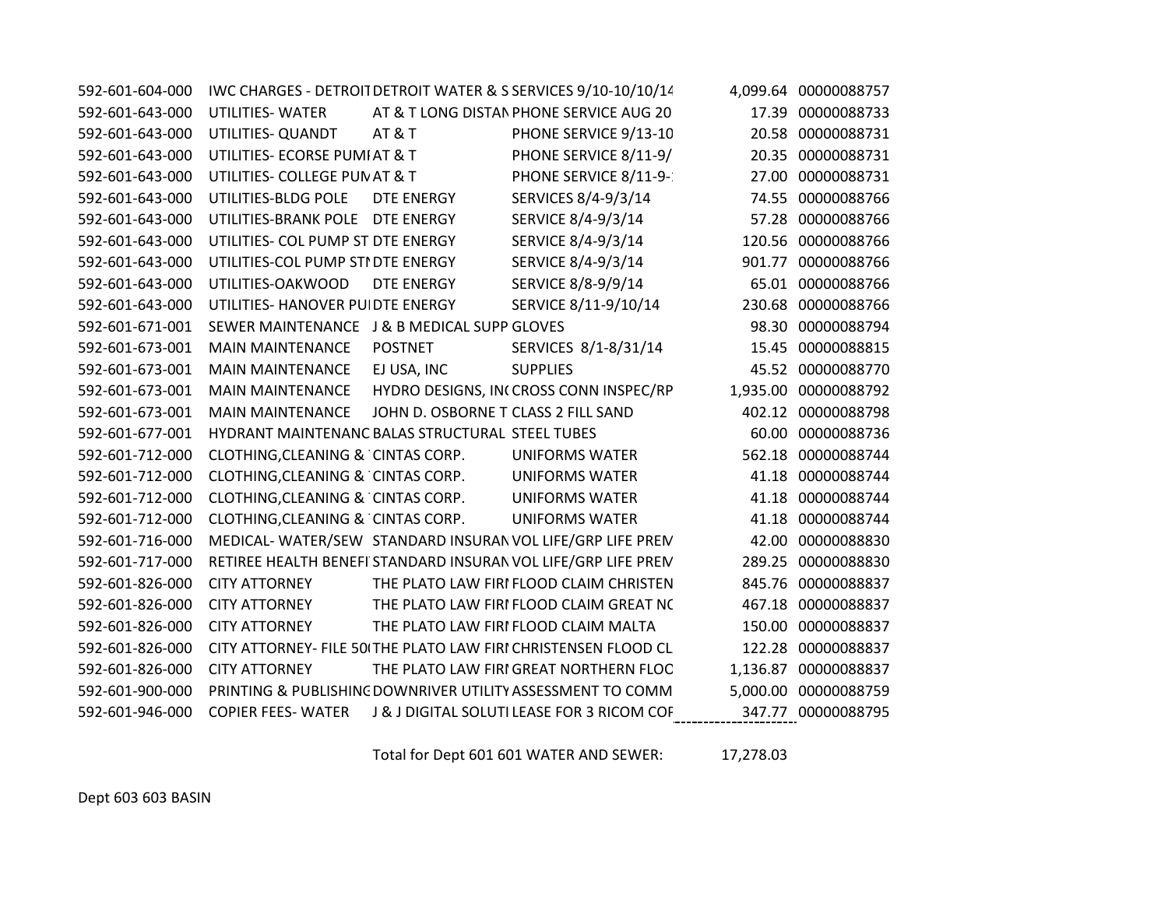| 592-601-604-000 |                                                 |                                     | IWC CHARGES - DETROIT DETROIT WATER & S SERVICES 9/10-10/10/14 |        | 4,099.64 00000088757 |
|-----------------|-------------------------------------------------|-------------------------------------|----------------------------------------------------------------|--------|----------------------|
| 592-601-643-000 | UTILITIES-WATER                                 |                                     | AT & T LONG DISTAN PHONE SERVICE AUG 20                        |        | 17.39 00000088733    |
| 592-601-643-000 | UTILITIES- QUANDT                               | AT&T                                | PHONE SERVICE 9/13-10                                          | 20.58  | 00000088731          |
| 592-601-643-000 | UTILITIES- ECORSE PUMI AT & T                   |                                     | PHONE SERVICE 8/11-9/                                          |        | 20.35 00000088731    |
| 592-601-643-000 | UTILITIES- COLLEGE PUN AT & T                   |                                     | PHONE SERVICE 8/11-9-                                          |        | 27.00 00000088731    |
| 592-601-643-000 | UTILITIES-BLDG POLE                             | DTE ENERGY                          | SERVICES 8/4-9/3/14                                            |        | 74.55 00000088766    |
| 592-601-643-000 | UTILITIES-BRANK POLE                            | DTE ENERGY                          | SERVICE 8/4-9/3/14                                             |        | 57.28 00000088766    |
| 592-601-643-000 | UTILITIES- COL PUMP ST DTE ENERGY               |                                     | SERVICE 8/4-9/3/14                                             |        | 120.56 00000088766   |
| 592-601-643-000 | UTILITIES-COL PUMP STI DTE ENERGY               |                                     | SERVICE 8/4-9/3/14                                             |        | 901.77 00000088766   |
| 592-601-643-000 | UTILITIES-OAKWOOD                               | DTE ENERGY                          | SERVICE 8/8-9/9/14                                             |        | 65.01 00000088766    |
| 592-601-643-000 | UTILITIES- HANOVER PUI DTE ENERGY               |                                     | SERVICE 8/11-9/10/14                                           |        | 230.68 00000088766   |
| 592-601-671-001 | SEWER MAINTENANCE J & B MEDICAL SUPP GLOVES     |                                     |                                                                |        | 98.30 00000088794    |
| 592-601-673-001 | <b>MAIN MAINTENANCE</b>                         | <b>POSTNET</b>                      | SERVICES 8/1-8/31/14                                           |        | 15.45 00000088815    |
| 592-601-673-001 | <b>MAIN MAINTENANCE</b>                         | EJ USA, INC                         | <b>SUPPLIES</b>                                                |        | 45.52 00000088770    |
| 592-601-673-001 | <b>MAIN MAINTENANCE</b>                         |                                     | HYDRO DESIGNS, INCCROSS CONN INSPEC/RP                         |        | 1,935.00 00000088792 |
| 592-601-673-001 | <b>MAIN MAINTENANCE</b>                         | JOHN D. OSBORNE T CLASS 2 FILL SAND |                                                                |        | 402.12 00000088798   |
| 592-601-677-001 | HYDRANT MAINTENANC BALAS STRUCTURAL STEEL TUBES |                                     |                                                                |        | 60.00 00000088736    |
| 592-601-712-000 | CLOTHING, CLEANING & CINTAS CORP.               |                                     | <b>UNIFORMS WATER</b>                                          |        | 562.18 00000088744   |
| 592-601-712-000 | CLOTHING, CLEANING & CINTAS CORP.               |                                     | <b>UNIFORMS WATER</b>                                          |        | 41.18 00000088744    |
| 592-601-712-000 | CLOTHING, CLEANING & CINTAS CORP.               |                                     | <b>UNIFORMS WATER</b>                                          |        | 41.18 00000088744    |
| 592-601-712-000 | CLOTHING, CLEANING & CINTAS CORP.               |                                     | <b>UNIFORMS WATER</b>                                          |        | 41.18 00000088744    |
| 592-601-716-000 |                                                 |                                     | MEDICAL-WATER/SEW STANDARD INSURAN VOL LIFE/GRP LIFE PREN      |        | 42.00 00000088830    |
| 592-601-717-000 |                                                 |                                     | RETIREE HEALTH BENEFI STANDARD INSURAN VOL LIFE/GRP LIFE PREN  | 289.25 | 00000088830          |
| 592-601-826-000 | <b>CITY ATTORNEY</b>                            |                                     | THE PLATO LAW FIRI FLOOD CLAIM CHRISTEN                        | 845.76 | 00000088837          |
| 592-601-826-000 | <b>CITY ATTORNEY</b>                            |                                     | THE PLATO LAW FIRI FLOOD CLAIM GREAT NO                        |        | 467.18 00000088837   |
| 592-601-826-000 | <b>CITY ATTORNEY</b>                            |                                     | THE PLATO LAW FIRI FLOOD CLAIM MALTA                           |        | 150.00 00000088837   |
| 592-601-826-000 |                                                 |                                     | CITY ATTORNEY- FILE 50 THE PLATO LAW FIRI CHRISTENSEN FLOOD CL |        | 122.28 00000088837   |
| 592-601-826-000 | <b>CITY ATTORNEY</b>                            |                                     | THE PLATO LAW FIRI GREAT NORTHERN FLOC                         |        | 1,136.87 00000088837 |
| 592-601-900-000 |                                                 |                                     | PRINTING & PUBLISHING DOWNRIVER UTILITY ASSESSMENT TO COMM     |        | 5,000.00 00000088759 |
| 592-601-946-000 | <b>COPIER FEES- WATER</b>                       |                                     | J & J DIGITAL SOLUTI LEASE FOR 3 RICOM COF                     |        | 347.77 00000088795   |

Total for Dept 601 601 WATER AND SEWER: 17,278.03

Dept 603 603 BASIN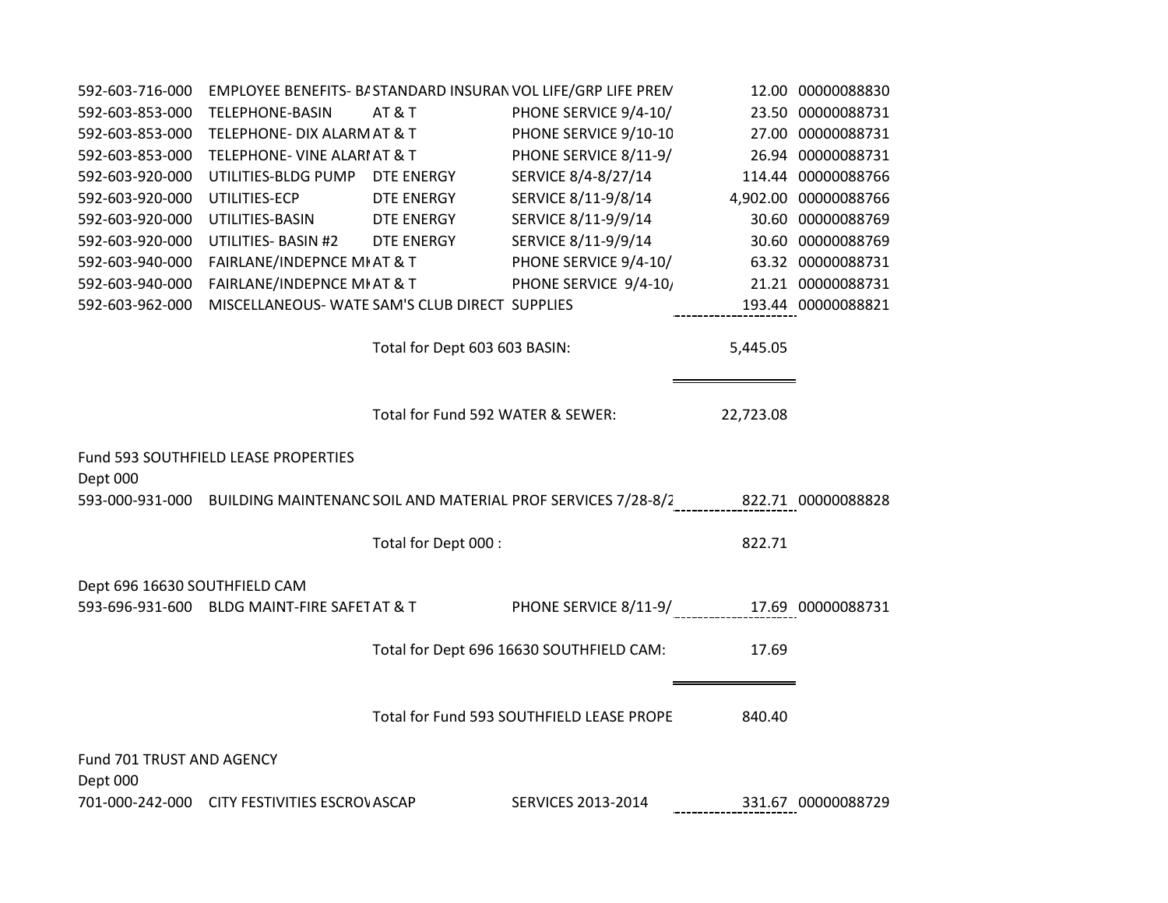| 592-603-716-000                       |                                                |                                   | EMPLOYEE BENEFITS- B/ STANDARD INSURAN VOL LIFE/GRP LIFE PREN                                     |           | 12.00 00000088830    |
|---------------------------------------|------------------------------------------------|-----------------------------------|---------------------------------------------------------------------------------------------------|-----------|----------------------|
| 592-603-853-000                       | <b>TELEPHONE-BASIN</b>                         | AT&T                              | PHONE SERVICE 9/4-10/                                                                             |           | 23.50 00000088731    |
| 592-603-853-000                       | TELEPHONE- DIX ALARM AT & T                    |                                   | PHONE SERVICE 9/10-10                                                                             |           | 27.00 00000088731    |
| 592-603-853-000                       | TELEPHONE- VINE ALARIAT & T                    |                                   | PHONE SERVICE 8/11-9/                                                                             |           | 26.94 00000088731    |
| 592-603-920-000                       | UTILITIES-BLDG PUMP DTE ENERGY                 |                                   | SERVICE 8/4-8/27/14                                                                               |           | 114.44 00000088766   |
| 592-603-920-000                       | UTILITIES-ECP                                  | DTE ENERGY                        | SERVICE 8/11-9/8/14                                                                               |           | 4,902.00 00000088766 |
| 592-603-920-000                       | UTILITIES-BASIN                                | DTE ENERGY                        | SERVICE 8/11-9/9/14                                                                               |           | 30.60 00000088769    |
| 592-603-920-000                       | UTILITIES- BASIN #2 DTE ENERGY                 |                                   | SERVICE 8/11-9/9/14                                                                               |           | 30.60 00000088769    |
| 592-603-940-000                       | FAIRLANE/INDEPNCE MI AT & T                    |                                   | PHONE SERVICE 9/4-10/                                                                             |           | 63.32 00000088731    |
| 592-603-940-000                       | FAIRLANE/INDEPNCE MI AT & T                    |                                   | PHONE SERVICE 9/4-10,                                                                             |           | 21.21 00000088731    |
| 592-603-962-000                       | MISCELLANEOUS- WATE SAM'S CLUB DIRECT SUPPLIES |                                   |                                                                                                   |           | 193.44 00000088821   |
|                                       |                                                | Total for Dept 603 603 BASIN:     |                                                                                                   | 5,445.05  |                      |
|                                       |                                                | Total for Fund 592 WATER & SEWER: |                                                                                                   | 22,723.08 |                      |
| Dept 000                              | Fund 593 SOUTHFIELD LEASE PROPERTIES           |                                   |                                                                                                   |           |                      |
|                                       |                                                |                                   | 593-000-931-000 BUILDING MAINTENANC SOIL AND MATERIAL PROF SERVICES 7/28-8/2<br>22.71 00000088828 |           |                      |
|                                       |                                                | Total for Dept 000 :              |                                                                                                   | 822.71    |                      |
| Dept 696 16630 SOUTHFIELD CAM         |                                                |                                   |                                                                                                   |           |                      |
|                                       | 593-696-931-600 BLDG MAINT-FIRE SAFET AT & T   |                                   | PHONE SERVICE 8/11-9/______________17.69_00000088731                                              |           |                      |
|                                       |                                                |                                   | Total for Dept 696 16630 SOUTHFIELD CAM:                                                          | 17.69     |                      |
|                                       |                                                |                                   | Total for Fund 593 SOUTHFIELD LEASE PROPE                                                         | 840.40    |                      |
| Fund 701 TRUST AND AGENCY<br>Dept 000 |                                                |                                   |                                                                                                   |           |                      |
|                                       | 701-000-242-000 CITY FESTIVITIES ESCROVASCAP   |                                   | <b>SERVICES 2013-2014</b>                                                                         |           | 331.67 00000088729   |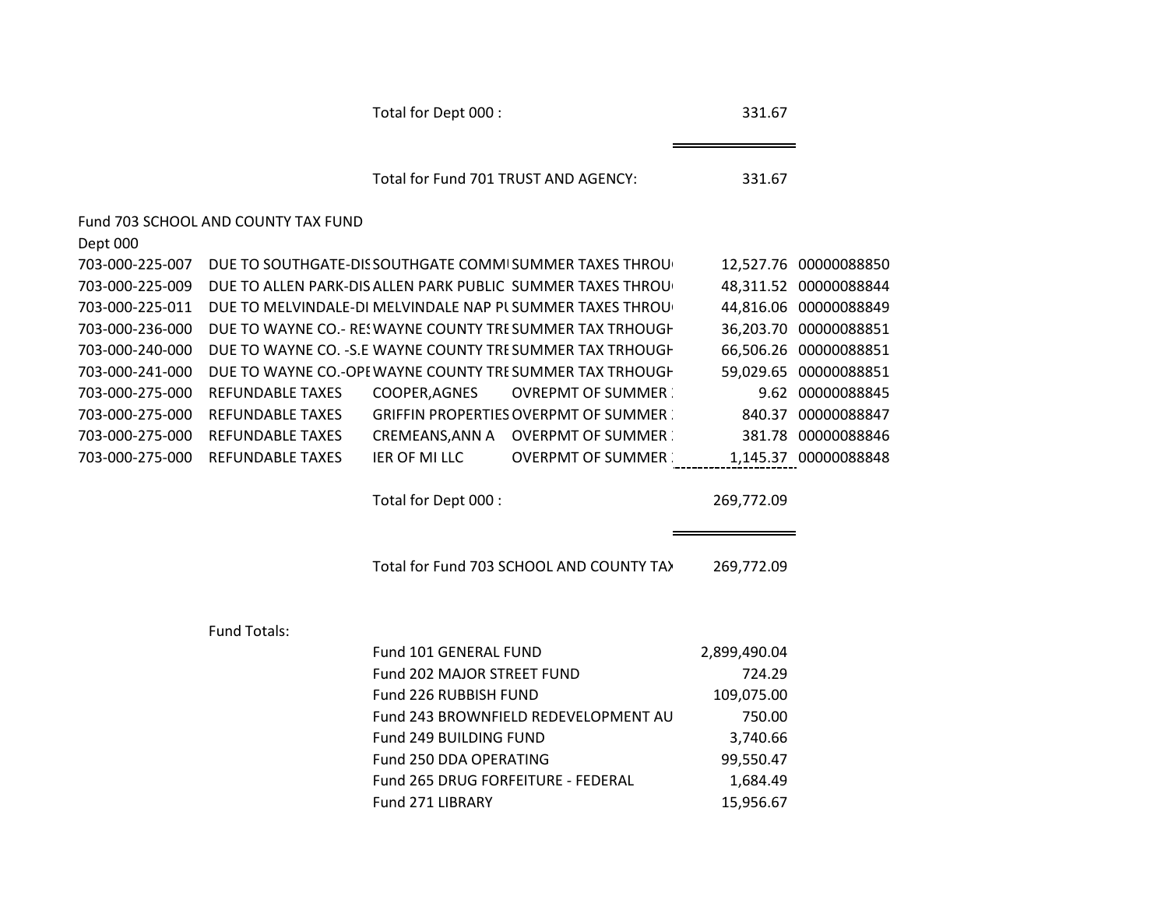|                 |                                     | Total for Dept 000 :       |                                                            | 331.67       |                       |
|-----------------|-------------------------------------|----------------------------|------------------------------------------------------------|--------------|-----------------------|
|                 |                                     |                            | Total for Fund 701 TRUST AND AGENCY:                       | 331.67       |                       |
|                 | Fund 703 SCHOOL AND COUNTY TAX FUND |                            |                                                            |              |                       |
| Dept 000        |                                     |                            |                                                            |              |                       |
| 703-000-225-007 |                                     |                            | DUE TO SOUTHGATE-DIS SOUTHGATE COMMISUMMER TAXES THROU     |              | 12,527.76 00000088850 |
| 703-000-225-009 |                                     |                            | DUE TO ALLEN PARK-DIS ALLEN PARK PUBLIC SUMMER TAXES THROU |              | 48,311.52 00000088844 |
| 703-000-225-011 |                                     |                            | DUE TO MELVINDALE-DI MELVINDALE NAP PL SUMMER TAXES THROU  |              | 44,816.06 00000088849 |
| 703-000-236-000 |                                     |                            | DUE TO WAYNE CO.- RES WAYNE COUNTY TRE SUMMER TAX TRHOUGH  |              | 36,203.70 00000088851 |
| 703-000-240-000 |                                     |                            | DUE TO WAYNE CO. - S.E WAYNE COUNTY TRESUMMER TAX TRHOUGH  |              | 66,506.26 00000088851 |
| 703-000-241-000 |                                     |                            | DUE TO WAYNE CO.-OPE WAYNE COUNTY TRESUMMER TAX TRHOUGH    |              | 59,029.65 00000088851 |
| 703-000-275-000 | REFUNDABLE TAXES                    | COOPER, AGNES              | <b>OVREPMT OF SUMMER</b>                                   |              | 9.62 00000088845      |
| 703-000-275-000 | <b>REFUNDABLE TAXES</b>             |                            | <b>GRIFFIN PROPERTIES OVERPMT OF SUMMER</b>                |              | 840.37 00000088847    |
| 703-000-275-000 | <b>REFUNDABLE TAXES</b>             |                            | CREMEANS, ANN A OVERPMT OF SUMMER                          |              | 381.78 00000088846    |
| 703-000-275-000 | <b>REFUNDABLE TAXES</b>             | IER OF MI LLC              | OVERPMT OF SUMMER                                          |              | 1,145.37 00000088848  |
|                 |                                     | Total for Dept 000 :       |                                                            | 269,772.09   |                       |
|                 |                                     |                            | Total for Fund 703 SCHOOL AND COUNTY TA>                   | 269,772.09   |                       |
|                 | Fund Totals:                        |                            |                                                            |              |                       |
|                 |                                     | Fund 101 GENERAL FUND      |                                                            | 2,899,490.04 |                       |
|                 |                                     | Fund 202 MAJOR STREET FUND |                                                            | 724.29       |                       |
|                 |                                     | Fund 226 RUBBISH FUND      |                                                            | 109,075.00   |                       |
|                 |                                     |                            | Fund 243 BROWNFIELD REDEVELOPMENT AU                       | 750.00       |                       |
|                 |                                     | Fund 249 BUILDING FUND     |                                                            | 3,740.66     |                       |
|                 |                                     | Fund 250 DDA OPERATING     |                                                            | 99,550.47    |                       |
|                 |                                     |                            | Fund 265 DRUG FORFEITURE - FEDERAL                         | 1,684.49     |                       |
|                 |                                     | Fund 271 LIBRARY           |                                                            | 15,956.67    |                       |